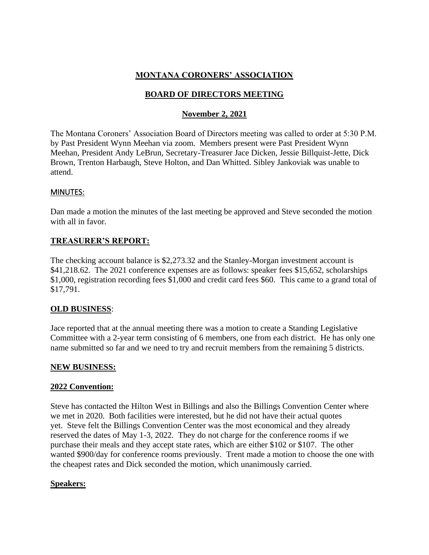## **MONTANA CORONERS' ASSOCIATION**

## **BOARD OF DIRECTORS MEETING**

## **November 2, 2021**

The Montana Coroners' Association Board of Directors meeting was called to order at 5:30 P.M. by Past President Wynn Meehan via zoom. Members present were Past President Wynn Meehan, President Andy LeBrun, Secretary-Treasurer Jace Dicken, Jessie Billquist-Jette, Dick Brown, Trenton Harbaugh, Steve Holton, and Dan Whitted. Sibley Jankoviak was unable to attend.

#### MINUTES:

Dan made a motion the minutes of the last meeting be approved and Steve seconded the motion with all in favor.

#### **TREASURER'S REPORT:**

The checking account balance is \$2,273.32 and the Stanley-Morgan investment account is \$41,218.62. The 2021 conference expenses are as follows: speaker fees \$15,652, scholarships \$1,000, registration recording fees \$1,000 and credit card fees \$60. This came to a grand total of \$17,791.

### **OLD BUSINESS**:

Jace reported that at the annual meeting there was a motion to create a Standing Legislative Committee with a 2-year term consisting of 6 members, one from each district. He has only one name submitted so far and we need to try and recruit members from the remaining 5 districts.

### **NEW BUSINESS:**

#### **2022 Convention:**

Steve has contacted the Hilton West in Billings and also the Billings Convention Center where we met in 2020. Both facilities were interested, but he did not have their actual quotes yet. Steve felt the Billings Convention Center was the most economical and they already reserved the dates of May 1-3, 2022. They do not charge for the conference rooms if we purchase their meals and they accept state rates, which are either \$102 or \$107. The other wanted \$900/day for conference rooms previously. Trent made a motion to choose the one with the cheapest rates and Dick seconded the motion, which unanimously carried.

### **Speakers:**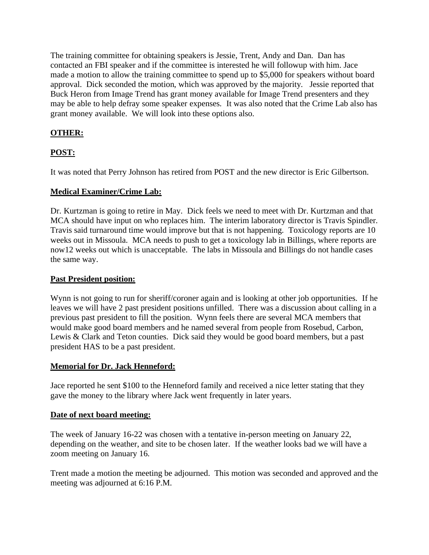The training committee for obtaining speakers is Jessie, Trent, Andy and Dan. Dan has contacted an FBI speaker and if the committee is interested he will followup with him. Jace made a motion to allow the training committee to spend up to \$5,000 for speakers without board approval. Dick seconded the motion, which was approved by the majority. Jessie reported that Buck Heron from Image Trend has grant money available for Image Trend presenters and they may be able to help defray some speaker expenses. It was also noted that the Crime Lab also has grant money available. We will look into these options also.

# **OTHER:**

# **POST:**

It was noted that Perry Johnson has retired from POST and the new director is Eric Gilbertson.

### **Medical Examiner/Crime Lab:**

Dr. Kurtzman is going to retire in May. Dick feels we need to meet with Dr. Kurtzman and that MCA should have input on who replaces him. The interim laboratory director is Travis Spindler. Travis said turnaround time would improve but that is not happening. Toxicology reports are 10 weeks out in Missoula. MCA needs to push to get a toxicology lab in Billings, where reports are now12 weeks out which is unacceptable. The labs in Missoula and Billings do not handle cases the same way.

### **Past President position:**

Wynn is not going to run for sheriff/coroner again and is looking at other job opportunities. If he leaves we will have 2 past president positions unfilled. There was a discussion about calling in a previous past president to fill the position. Wynn feels there are several MCA members that would make good board members and he named several from people from Rosebud, Carbon, Lewis & Clark and Teton counties. Dick said they would be good board members, but a past president HAS to be a past president.

### **Memorial for Dr. Jack Henneford:**

Jace reported he sent \$100 to the Henneford family and received a nice letter stating that they gave the money to the library where Jack went frequently in later years.

### **Date of next board meeting:**

The week of January 16-22 was chosen with a tentative in-person meeting on January 22, depending on the weather, and site to be chosen later. If the weather looks bad we will have a zoom meeting on January 16.

Trent made a motion the meeting be adjourned. This motion was seconded and approved and the meeting was adjourned at 6:16 P.M.